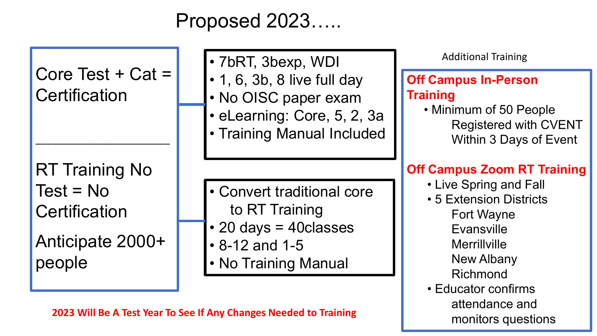## Proposed 2023…..

## Core Test  $+$  Cat  $=$ **Certification**

\_\_\_\_\_\_\_\_\_\_\_\_\_\_\_\_\_\_\_\_\_\_\_\_

RT Training No  $Test = No$ **Certification** 

Anticipate 2000+ people

• 7bRT, 3bexp, WDI • 1, 6, 3b, 8 live full day • No OISC paper exam • eLearning: Core, 5, 2, 3a • Training Manual Included

- Convert traditional core to RT Training
- 20 days = 40classes
- 8-12 and 1-5
- No Training Manual

Additional Training

#### **Off Campus In-Person Training**

• Minimum of 50 People Registered with CVENT Within 3 Days of Event

### **Off Campus Zoom RT Training**

- Live Spring and Fall
- 5 Extension Districts Fort Wayne Evansville **Merrillville** New Albany Richmond
- Educator confirms attendance and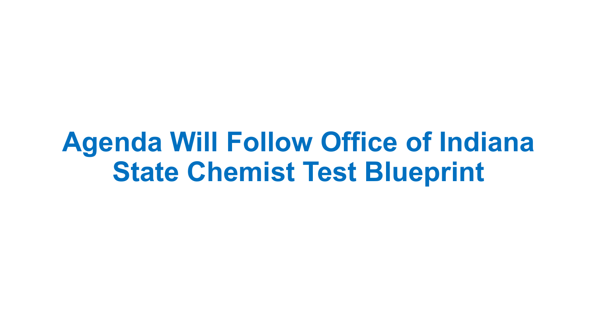# **Agenda Will Follow Office of Indiana State Chemist Test Blueprint**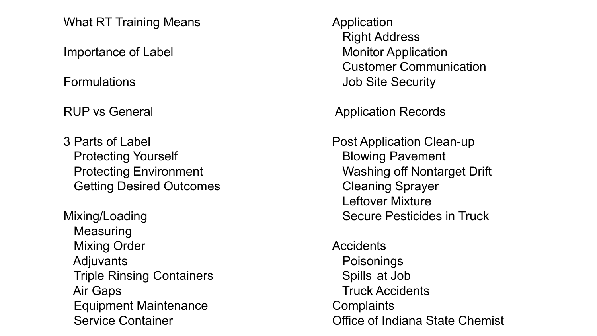What RT Training Means **Application** 

3 Parts of Label **Post Application Clean-up** Protecting Yourself **Blowing Pavement** Getting Desired Outcomes **Cleaning Sprayer** 

Mixing/Loading Mixing/Loading Secure Pesticides in Truck Measuring Mixing Order **Accidents** Adjuvants **Poisonings** Triple Rinsing Containers Triple Rinsing Containers Air Gaps **Truck Accidents** Equipment Maintenance **Complaints** 

Right Address Importance of Label **Monitor Application** Customer Communication Formulations **Formulations Formulations Job Site Security** 

RUP vs General **Application Records Application Records** 

Protecting Environment Washing off Nontarget Drift Leftover Mixture

Service Container **Service Container Container Container Container Container Container Container Container Container Container Container Container Container Container Container Container Con**